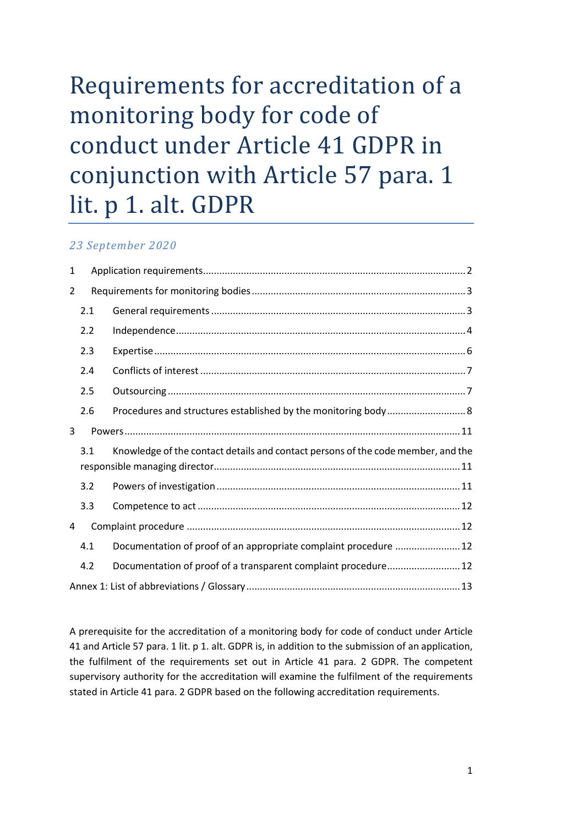# Requirements for accreditation of a monitoring body for code of conduct under Article 41 GDPR in conjunction with Article 57 para. 1 lit. p 1. alt. GDPR

# *23 September 2020*

| 1                                                                                       |     |                                                                  |  |
|-----------------------------------------------------------------------------------------|-----|------------------------------------------------------------------|--|
| 2                                                                                       |     |                                                                  |  |
|                                                                                         | 2.1 |                                                                  |  |
|                                                                                         | 2.2 |                                                                  |  |
|                                                                                         | 2.3 |                                                                  |  |
|                                                                                         | 2.4 |                                                                  |  |
|                                                                                         | 2.5 |                                                                  |  |
|                                                                                         | 2.6 |                                                                  |  |
| 3                                                                                       |     |                                                                  |  |
| Knowledge of the contact details and contact persons of the code member, and the<br>3.1 |     |                                                                  |  |
|                                                                                         | 3.2 |                                                                  |  |
|                                                                                         | 3.3 |                                                                  |  |
| 4                                                                                       |     |                                                                  |  |
|                                                                                         | 4.1 | Documentation of proof of an appropriate complaint procedure  12 |  |
|                                                                                         | 4.2 | Documentation of proof of a transparent complaint procedure 12   |  |
|                                                                                         |     |                                                                  |  |

A prerequisite for the accreditation of a monitoring body for code of conduct under Article 41 and Article 57 para. 1 lit. p 1. alt. GDPR is, in addition to the submission of an application, the fulfilment of the requirements set out in Article 41 para. 2 GDPR. The competent supervisory authority for the accreditation will examine the fulfilment of the requirements stated in Article 41 para. 2 GDPR based on the following accreditation requirements.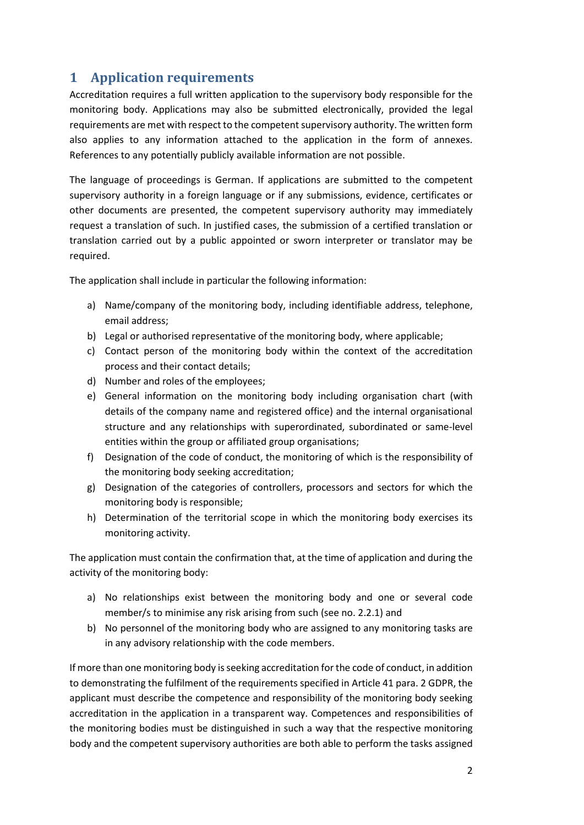# <span id="page-1-0"></span>**1 Application requirements**

Accreditation requires a full written application to the supervisory body responsible for the monitoring body. Applications may also be submitted electronically, provided the legal requirements are met with respect to the competent supervisory authority. The written form also applies to any information attached to the application in the form of annexes. References to any potentially publicly available information are not possible.

The language of proceedings is German. If applications are submitted to the competent supervisory authority in a foreign language or if any submissions, evidence, certificates or other documents are presented, the competent supervisory authority may immediately request a translation of such. In justified cases, the submission of a certified translation or translation carried out by a public appointed or sworn interpreter or translator may be required.

The application shall include in particular the following information:

- a) Name/company of the monitoring body, including identifiable address, telephone, email address;
- b) Legal or authorised representative of the monitoring body, where applicable;
- c) Contact person of the monitoring body within the context of the accreditation process and their contact details;
- d) Number and roles of the employees;
- e) General information on the monitoring body including organisation chart (with details of the company name and registered office) and the internal organisational structure and any relationships with superordinated, subordinated or same-level entities within the group or affiliated group organisations;
- f) Designation of the code of conduct, the monitoring of which is the responsibility of the monitoring body seeking accreditation;
- g) Designation of the categories of controllers, processors and sectors for which the monitoring body is responsible;
- h) Determination of the territorial scope in which the monitoring body exercises its monitoring activity.

The application must contain the confirmation that, at the time of application and during the activity of the monitoring body:

- a) No relationships exist between the monitoring body and one or several code member/s to minimise any risk arising from such (see no. 2.2.1) and
- b) No personnel of the monitoring body who are assigned to any monitoring tasks are in any advisory relationship with the code members.

If more than one monitoring body is seeking accreditation for the code of conduct, in addition to demonstrating the fulfilment of the requirements specified in Article 41 para. 2 GDPR, the applicant must describe the competence and responsibility of the monitoring body seeking accreditation in the application in a transparent way. Competences and responsibilities of the monitoring bodies must be distinguished in such a way that the respective monitoring body and the competent supervisory authorities are both able to perform the tasks assigned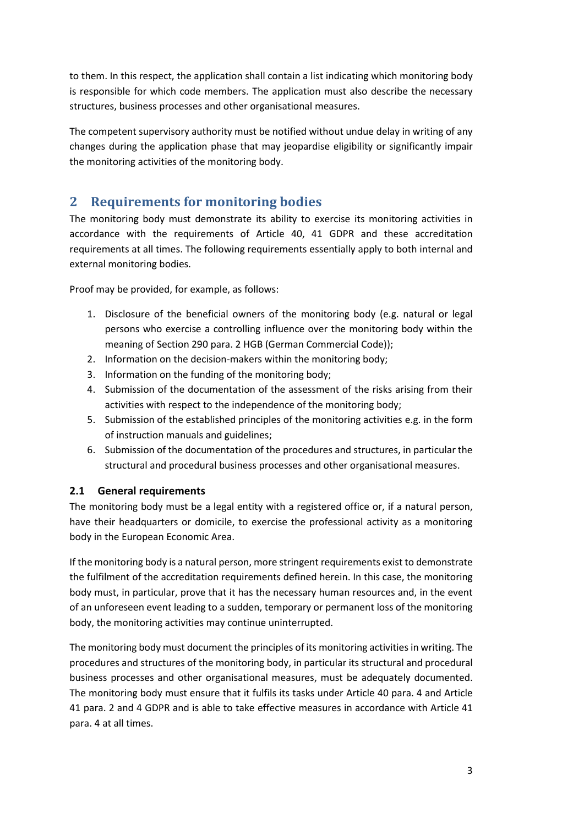to them. In this respect, the application shall contain a list indicating which monitoring body is responsible for which code members. The application must also describe the necessary structures, business processes and other organisational measures.

The competent supervisory authority must be notified without undue delay in writing of any changes during the application phase that may jeopardise eligibility or significantly impair the monitoring activities of the monitoring body.

# <span id="page-2-0"></span>**2 Requirements for monitoring bodies**

The monitoring body must demonstrate its ability to exercise its monitoring activities in accordance with the requirements of Article 40, 41 GDPR and these accreditation requirements at all times. The following requirements essentially apply to both internal and external monitoring bodies.

Proof may be provided, for example, as follows:

- 1. Disclosure of the beneficial owners of the monitoring body (e.g. natural or legal persons who exercise a controlling influence over the monitoring body within the meaning of Section 290 para. 2 HGB (German Commercial Code));
- 2. Information on the decision-makers within the monitoring body;
- 3. Information on the funding of the monitoring body;
- 4. Submission of the documentation of the assessment of the risks arising from their activities with respect to the independence of the monitoring body;
- 5. Submission of the established principles of the monitoring activities e.g. in the form of instruction manuals and guidelines;
- 6. Submission of the documentation of the procedures and structures, in particular the structural and procedural business processes and other organisational measures.

# <span id="page-2-1"></span>**2.1 General requirements**

The monitoring body must be a legal entity with a registered office or, if a natural person, have their headquarters or domicile, to exercise the professional activity as a monitoring body in the European Economic Area.

If the monitoring body is a natural person, more stringent requirements exist to demonstrate the fulfilment of the accreditation requirements defined herein. In this case, the monitoring body must, in particular, prove that it has the necessary human resources and, in the event of an unforeseen event leading to a sudden, temporary or permanent loss of the monitoring body, the monitoring activities may continue uninterrupted.

The monitoring body must document the principles of its monitoring activities in writing. The procedures and structures of the monitoring body, in particular its structural and procedural business processes and other organisational measures, must be adequately documented. The monitoring body must ensure that it fulfils its tasks under Article 40 para. 4 and Article 41 para. 2 and 4 GDPR and is able to take effective measures in accordance with Article 41 para. 4 at all times.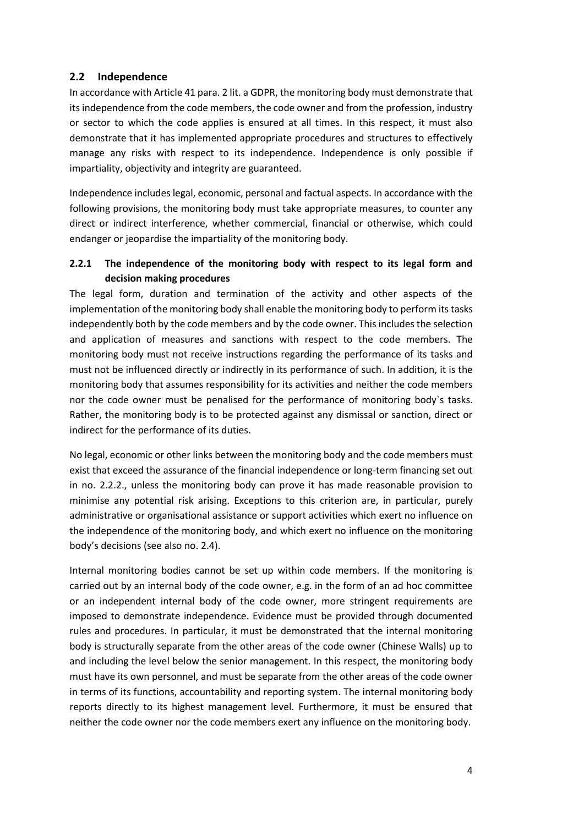## <span id="page-3-0"></span>**2.2 Independence**

In accordance with Article 41 para. 2 lit. a GDPR, the monitoring body must demonstrate that its independence from the code members, the code owner and from the profession, industry or sector to which the code applies is ensured at all times. In this respect, it must also demonstrate that it has implemented appropriate procedures and structures to effectively manage any risks with respect to its independence. Independence is only possible if impartiality, objectivity and integrity are guaranteed.

Independence includes legal, economic, personal and factual aspects. In accordance with the following provisions, the monitoring body must take appropriate measures, to counter any direct or indirect interference, whether commercial, financial or otherwise, which could endanger or jeopardise the impartiality of the monitoring body.

## **2.2.1 The independence of the monitoring body with respect to its legal form and decision making procedures**

The legal form, duration and termination of the activity and other aspects of the implementation of the monitoring body shall enable the monitoring body to perform its tasks independently both by the code members and by the code owner. Thisincludes the selection and application of measures and sanctions with respect to the code members. The monitoring body must not receive instructions regarding the performance of its tasks and must not be influenced directly or indirectly in its performance of such. In addition, it is the monitoring body that assumes responsibility for its activities and neither the code members nor the code owner must be penalised for the performance of monitoring body`s tasks. Rather, the monitoring body is to be protected against any dismissal or sanction, direct or indirect for the performance of its duties.

No legal, economic or other links between the monitoring body and the code members must exist that exceed the assurance of the financial independence or long-term financing set out in no. 2.2.2., unless the monitoring body can prove it has made reasonable provision to minimise any potential risk arising. Exceptions to this criterion are, in particular, purely administrative or organisational assistance or support activities which exert no influence on the independence of the monitoring body, and which exert no influence on the monitoring body's decisions (see also no. 2.4).

Internal monitoring bodies cannot be set up within code members. If the monitoring is carried out by an internal body of the code owner, e.g. in the form of an ad hoc committee or an independent internal body of the code owner, more stringent requirements are imposed to demonstrate independence. Evidence must be provided through documented rules and procedures. In particular, it must be demonstrated that the internal monitoring body is structurally separate from the other areas of the code owner (Chinese Walls) up to and including the level below the senior management. In this respect, the monitoring body must have its own personnel, and must be separate from the other areas of the code owner in terms of its functions, accountability and reporting system. The internal monitoring body reports directly to its highest management level. Furthermore, it must be ensured that neither the code owner nor the code members exert any influence on the monitoring body.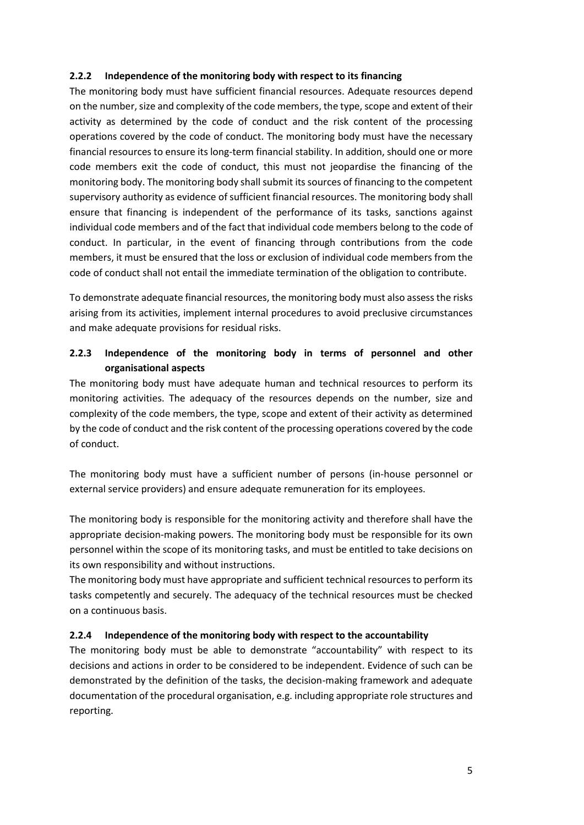#### **2.2.2 Independence of the monitoring body with respect to its financing**

The monitoring body must have sufficient financial resources. Adequate resources depend on the number, size and complexity of the code members, the type, scope and extent of their activity as determined by the code of conduct and the risk content of the processing operations covered by the code of conduct. The monitoring body must have the necessary financial resources to ensure its long-term financial stability. In addition, should one or more code members exit the code of conduct, this must not jeopardise the financing of the monitoring body. The monitoring body shall submit its sources of financing to the competent supervisory authority as evidence of sufficient financial resources. The monitoring body shall ensure that financing is independent of the performance of its tasks, sanctions against individual code members and of the fact that individual code members belong to the code of conduct. In particular, in the event of financing through contributions from the code members, it must be ensured that the loss or exclusion of individual code members from the code of conduct shall not entail the immediate termination of the obligation to contribute.

To demonstrate adequate financial resources, the monitoring body must also assess the risks arising from its activities, implement internal procedures to avoid preclusive circumstances and make adequate provisions for residual risks.

# **2.2.3 Independence of the monitoring body in terms of personnel and other organisational aspects**

The monitoring body must have adequate human and technical resources to perform its monitoring activities. The adequacy of the resources depends on the number, size and complexity of the code members, the type, scope and extent of their activity as determined by the code of conduct and the risk content of the processing operations covered by the code of conduct.

The monitoring body must have a sufficient number of persons (in-house personnel or external service providers) and ensure adequate remuneration for its employees.

The monitoring body is responsible for the monitoring activity and therefore shall have the appropriate decision-making powers. The monitoring body must be responsible for its own personnel within the scope of its monitoring tasks, and must be entitled to take decisions on its own responsibility and without instructions.

The monitoring body must have appropriate and sufficient technical resources to perform its tasks competently and securely. The adequacy of the technical resources must be checked on a continuous basis.

#### **2.2.4 Independence of the monitoring body with respect to the accountability**

The monitoring body must be able to demonstrate "accountability" with respect to its decisions and actions in order to be considered to be independent. Evidence of such can be demonstrated by the definition of the tasks, the decision-making framework and adequate documentation of the procedural organisation, e.g. including appropriate role structures and reporting.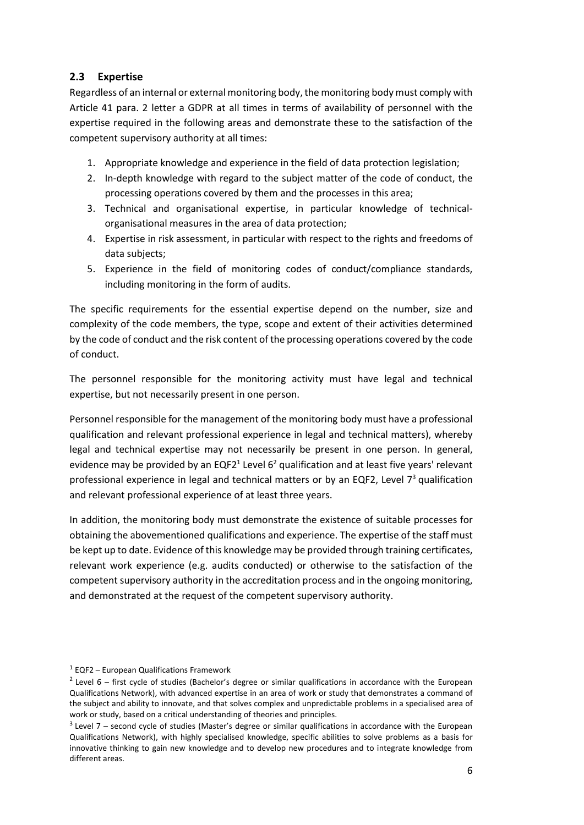# <span id="page-5-0"></span>**2.3 Expertise**

Regardless of an internal or external monitoring body, the monitoring body must comply with Article 41 para. 2 letter a GDPR at all times in terms of availability of personnel with the expertise required in the following areas and demonstrate these to the satisfaction of the competent supervisory authority at all times:

- 1. Appropriate knowledge and experience in the field of data protection legislation;
- 2. In-depth knowledge with regard to the subject matter of the code of conduct, the processing operations covered by them and the processes in this area;
- 3. Technical and organisational expertise, in particular knowledge of technicalorganisational measures in the area of data protection;
- 4. Expertise in risk assessment, in particular with respect to the rights and freedoms of data subjects;
- 5. Experience in the field of monitoring codes of conduct/compliance standards, including monitoring in the form of audits.

The specific requirements for the essential expertise depend on the number, size and complexity of the code members, the type, scope and extent of their activities determined by the code of conduct and the risk content of the processing operations covered by the code of conduct.

The personnel responsible for the monitoring activity must have legal and technical expertise, but not necessarily present in one person.

Personnel responsible for the management of the monitoring body must have a professional qualification and relevant professional experience in legal and technical matters), whereby legal and technical expertise may not necessarily be present in one person. In general, evidence may be provided by an EQF2<sup>1</sup> Level 6<sup>2</sup> qualification and at least five years' relevant professional experience in legal and technical matters or by an EQF2, Level  $7<sup>3</sup>$  qualification and relevant professional experience of at least three years.

In addition, the monitoring body must demonstrate the existence of suitable processes for obtaining the abovementioned qualifications and experience. The expertise of the staff must be kept up to date. Evidence of this knowledge may be provided through training certificates, relevant work experience (e.g. audits conducted) or otherwise to the satisfaction of the competent supervisory authority in the accreditation process and in the ongoing monitoring, and demonstrated at the request of the competent supervisory authority.

<sup>&</sup>lt;sup>1</sup> EQF2 – European Qualifications Framework

<sup>&</sup>lt;sup>2</sup> Level 6 – first cycle of studies (Bachelor's degree or similar qualifications in accordance with the European Qualifications Network), with advanced expertise in an area of work or study that demonstrates a command of the subject and ability to innovate, and that solves complex and unpredictable problems in a specialised area of work or study, based on a critical understanding of theories and principles.

 $3$  Level 7 – second cycle of studies (Master's degree or similar qualifications in accordance with the European Qualifications Network), with highly specialised knowledge, specific abilities to solve problems as a basis for innovative thinking to gain new knowledge and to develop new procedures and to integrate knowledge from different areas.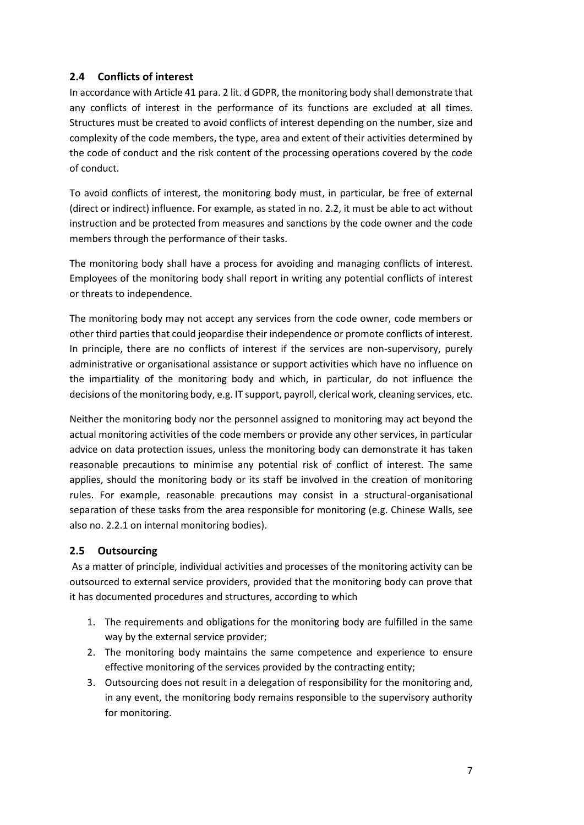# <span id="page-6-0"></span>**2.4 Conflicts of interest**

In accordance with Article 41 para. 2 lit. d GDPR, the monitoring body shall demonstrate that any conflicts of interest in the performance of its functions are excluded at all times. Structures must be created to avoid conflicts of interest depending on the number, size and complexity of the code members, the type, area and extent of their activities determined by the code of conduct and the risk content of the processing operations covered by the code of conduct.

To avoid conflicts of interest, the monitoring body must, in particular, be free of external (direct or indirect) influence. For example, as stated in no. 2.2, it must be able to act without instruction and be protected from measures and sanctions by the code owner and the code members through the performance of their tasks.

The monitoring body shall have a process for avoiding and managing conflicts of interest. Employees of the monitoring body shall report in writing any potential conflicts of interest or threats to independence.

The monitoring body may not accept any services from the code owner, code members or other third parties that could jeopardise their independence or promote conflicts of interest. In principle, there are no conflicts of interest if the services are non-supervisory, purely administrative or organisational assistance or support activities which have no influence on the impartiality of the monitoring body and which, in particular, do not influence the decisions of the monitoring body, e.g. IT support, payroll, clerical work, cleaning services, etc.

Neither the monitoring body nor the personnel assigned to monitoring may act beyond the actual monitoring activities of the code members or provide any other services, in particular advice on data protection issues, unless the monitoring body can demonstrate it has taken reasonable precautions to minimise any potential risk of conflict of interest. The same applies, should the monitoring body or its staff be involved in the creation of monitoring rules. For example, reasonable precautions may consist in a structural-organisational separation of these tasks from the area responsible for monitoring (e.g. Chinese Walls, see also no. 2.2.1 on internal monitoring bodies).

# <span id="page-6-1"></span>**2.5 Outsourcing**

As a matter of principle, individual activities and processes of the monitoring activity can be outsourced to external service providers, provided that the monitoring body can prove that it has documented procedures and structures, according to which

- 1. The requirements and obligations for the monitoring body are fulfilled in the same way by the external service provider;
- 2. The monitoring body maintains the same competence and experience to ensure effective monitoring of the services provided by the contracting entity;
- 3. Outsourcing does not result in a delegation of responsibility for the monitoring and, in any event, the monitoring body remains responsible to the supervisory authority for monitoring.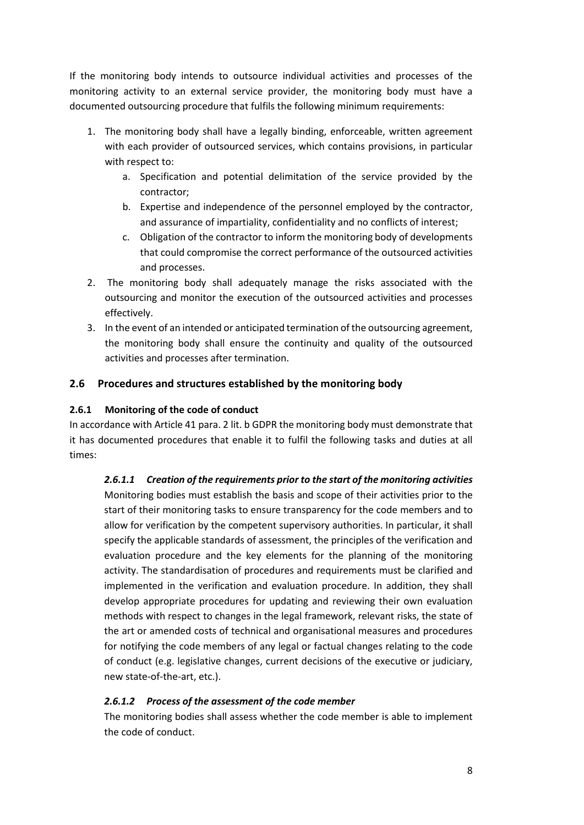If the monitoring body intends to outsource individual activities and processes of the monitoring activity to an external service provider, the monitoring body must have a documented outsourcing procedure that fulfils the following minimum requirements:

- 1. The monitoring body shall have a legally binding, enforceable, written agreement with each provider of outsourced services, which contains provisions, in particular with respect to:
	- a. Specification and potential delimitation of the service provided by the contractor;
	- b. Expertise and independence of the personnel employed by the contractor, and assurance of impartiality, confidentiality and no conflicts of interest;
	- c. Obligation of the contractor to inform the monitoring body of developments that could compromise the correct performance of the outsourced activities and processes.
- 2. The monitoring body shall adequately manage the risks associated with the outsourcing and monitor the execution of the outsourced activities and processes effectively.
- 3. In the event of an intended or anticipated termination of the outsourcing agreement, the monitoring body shall ensure the continuity and quality of the outsourced activities and processes after termination.

#### <span id="page-7-0"></span>**2.6 Procedures and structures established by the monitoring body**

#### **2.6.1 Monitoring of the code of conduct**

In accordance with Article 41 para. 2 lit. b GDPR the monitoring body must demonstrate that it has documented procedures that enable it to fulfil the following tasks and duties at all times:

*2.6.1.1 Creation of the requirements prior to the start of the monitoring activities* Monitoring bodies must establish the basis and scope of their activities prior to the start of their monitoring tasks to ensure transparency for the code members and to allow for verification by the competent supervisory authorities. In particular, it shall specify the applicable standards of assessment, the principles of the verification and evaluation procedure and the key elements for the planning of the monitoring activity. The standardisation of procedures and requirements must be clarified and implemented in the verification and evaluation procedure. In addition, they shall develop appropriate procedures for updating and reviewing their own evaluation methods with respect to changes in the legal framework, relevant risks, the state of the art or amended costs of technical and organisational measures and procedures for notifying the code members of any legal or factual changes relating to the code of conduct (e.g. legislative changes, current decisions of the executive or judiciary, new state-of-the-art, etc.).

#### *2.6.1.2 Process of the assessment of the code member*

The monitoring bodies shall assess whether the code member is able to implement the code of conduct.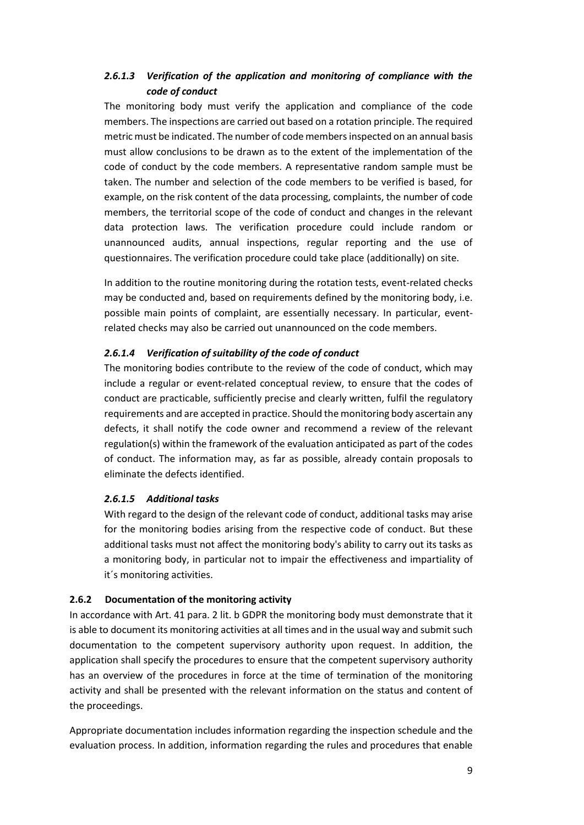# *2.6.1.3 Verification of the application and monitoring of compliance with the code of conduct*

The monitoring body must verify the application and compliance of the code members. The inspections are carried out based on a rotation principle. The required metric must be indicated. The number of code membersinspected on an annual basis must allow conclusions to be drawn as to the extent of the implementation of the code of conduct by the code members. A representative random sample must be taken. The number and selection of the code members to be verified is based, for example, on the risk content of the data processing, complaints, the number of code members, the territorial scope of the code of conduct and changes in the relevant data protection laws. The verification procedure could include random or unannounced audits, annual inspections, regular reporting and the use of questionnaires. The verification procedure could take place (additionally) on site.

In addition to the routine monitoring during the rotation tests, event-related checks may be conducted and, based on requirements defined by the monitoring body, i.e. possible main points of complaint, are essentially necessary. In particular, eventrelated checks may also be carried out unannounced on the code members.

#### *2.6.1.4 Verification of suitability of the code of conduct*

The monitoring bodies contribute to the review of the code of conduct, which may include a regular or event-related conceptual review, to ensure that the codes of conduct are practicable, sufficiently precise and clearly written, fulfil the regulatory requirements and are accepted in practice. Should the monitoring body ascertain any defects, it shall notify the code owner and recommend a review of the relevant regulation(s) within the framework of the evaluation anticipated as part of the codes of conduct. The information may, as far as possible, already contain proposals to eliminate the defects identified.

#### *2.6.1.5 Additional tasks*

With regard to the design of the relevant code of conduct, additional tasks may arise for the monitoring bodies arising from the respective code of conduct. But these additional tasks must not affect the monitoring body's ability to carry out its tasks as a monitoring body, in particular not to impair the effectiveness and impartiality of it´s monitoring activities.

#### **2.6.2 Documentation of the monitoring activity**

In accordance with Art. 41 para. 2 lit. b GDPR the monitoring body must demonstrate that it is able to document its monitoring activities at all times and in the usual way and submit such documentation to the competent supervisory authority upon request. In addition, the application shall specify the procedures to ensure that the competent supervisory authority has an overview of the procedures in force at the time of termination of the monitoring activity and shall be presented with the relevant information on the status and content of the proceedings.

Appropriate documentation includes information regarding the inspection schedule and the evaluation process. In addition, information regarding the rules and procedures that enable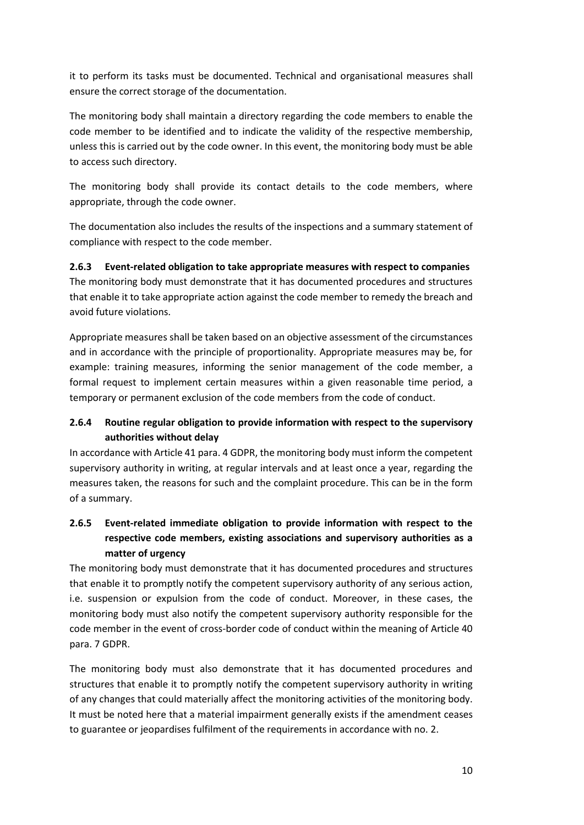it to perform its tasks must be documented. Technical and organisational measures shall ensure the correct storage of the documentation.

The monitoring body shall maintain a directory regarding the code members to enable the code member to be identified and to indicate the validity of the respective membership, unless this is carried out by the code owner. In this event, the monitoring body must be able to access such directory.

The monitoring body shall provide its contact details to the code members, where appropriate, through the code owner.

The documentation also includes the results of the inspections and a summary statement of compliance with respect to the code member.

### **2.6.3 Event-related obligation to take appropriate measures with respect to companies**

The monitoring body must demonstrate that it has documented procedures and structures that enable it to take appropriate action against the code member to remedy the breach and avoid future violations.

Appropriate measures shall be taken based on an objective assessment of the circumstances and in accordance with the principle of proportionality. Appropriate measures may be, for example: training measures, informing the senior management of the code member, a formal request to implement certain measures within a given reasonable time period, a temporary or permanent exclusion of the code members from the code of conduct.

### **2.6.4 Routine regular obligation to provide information with respect to the supervisory authorities without delay**

In accordance with Article 41 para. 4 GDPR, the monitoring body must inform the competent supervisory authority in writing, at regular intervals and at least once a year, regarding the measures taken, the reasons for such and the complaint procedure. This can be in the form of a summary.

# **2.6.5 Event-related immediate obligation to provide information with respect to the respective code members, existing associations and supervisory authorities as a matter of urgency**

The monitoring body must demonstrate that it has documented procedures and structures that enable it to promptly notify the competent supervisory authority of any serious action, i.e. suspension or expulsion from the code of conduct. Moreover, in these cases, the monitoring body must also notify the competent supervisory authority responsible for the code member in the event of cross-border code of conduct within the meaning of Article 40 para. 7 GDPR.

The monitoring body must also demonstrate that it has documented procedures and structures that enable it to promptly notify the competent supervisory authority in writing of any changes that could materially affect the monitoring activities of the monitoring body. It must be noted here that a material impairment generally exists if the amendment ceases to guarantee or jeopardises fulfilment of the requirements in accordance with no. 2.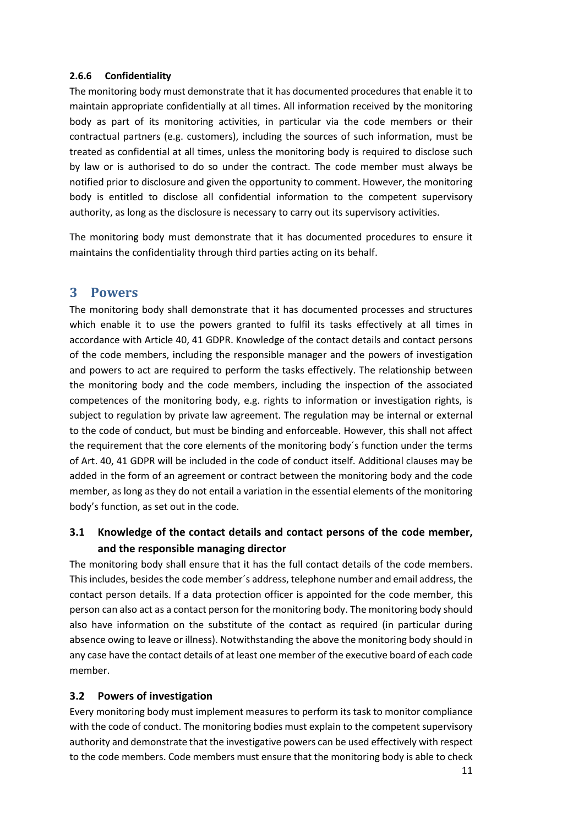#### **2.6.6 Confidentiality**

The monitoring body must demonstrate that it has documented procedures that enable it to maintain appropriate confidentially at all times. All information received by the monitoring body as part of its monitoring activities, in particular via the code members or their contractual partners (e.g. customers), including the sources of such information, must be treated as confidential at all times, unless the monitoring body is required to disclose such by law or is authorised to do so under the contract. The code member must always be notified prior to disclosure and given the opportunity to comment. However, the monitoring body is entitled to disclose all confidential information to the competent supervisory authority, as long as the disclosure is necessary to carry out its supervisory activities.

The monitoring body must demonstrate that it has documented procedures to ensure it maintains the confidentiality through third parties acting on its behalf.

# <span id="page-10-0"></span>**3 Powers**

The monitoring body shall demonstrate that it has documented processes and structures which enable it to use the powers granted to fulfil its tasks effectively at all times in accordance with Article 40, 41 GDPR. Knowledge of the contact details and contact persons of the code members, including the responsible manager and the powers of investigation and powers to act are required to perform the tasks effectively. The relationship between the monitoring body and the code members, including the inspection of the associated competences of the monitoring body, e.g. rights to information or investigation rights, is subject to regulation by private law agreement. The regulation may be internal or external to the code of conduct, but must be binding and enforceable. However, this shall not affect the requirement that the core elements of the monitoring body´s function under the terms of Art. 40, 41 GDPR will be included in the code of conduct itself. Additional clauses may be added in the form of an agreement or contract between the monitoring body and the code member, as long as they do not entail a variation in the essential elements of the monitoring body's function, as set out in the code.

# <span id="page-10-1"></span>**3.1 Knowledge of the contact details and contact persons of the code member, and the responsible managing director**

The monitoring body shall ensure that it has the full contact details of the code members. This includes, besides the code member´s address, telephone number and email address, the contact person details. If a data protection officer is appointed for the code member, this person can also act as a contact person for the monitoring body. The monitoring body should also have information on the substitute of the contact as required (in particular during absence owing to leave or illness). Notwithstanding the above the monitoring body should in any case have the contact details of at least one member of the executive board of each code member.

#### <span id="page-10-2"></span>**3.2 Powers of investigation**

Every monitoring body must implement measures to perform its task to monitor compliance with the code of conduct. The monitoring bodies must explain to the competent supervisory authority and demonstrate that the investigative powers can be used effectively with respect to the code members. Code members must ensure that the monitoring body is able to check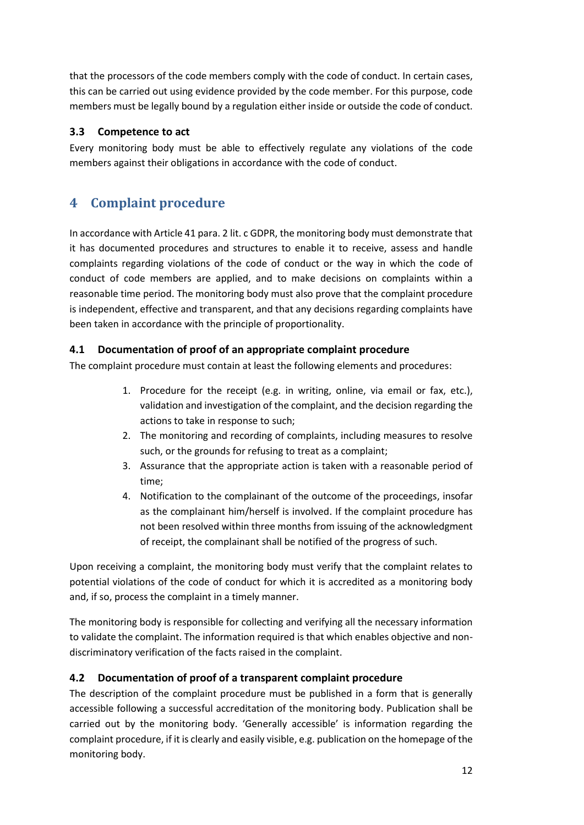that the processors of the code members comply with the code of conduct. In certain cases, this can be carried out using evidence provided by the code member. For this purpose, code members must be legally bound by a regulation either inside or outside the code of conduct.

# <span id="page-11-0"></span>**3.3 Competence to act**

Every monitoring body must be able to effectively regulate any violations of the code members against their obligations in accordance with the code of conduct.

# <span id="page-11-1"></span>**4 Complaint procedure**

In accordance with Article 41 para. 2 lit. c GDPR, the monitoring body must demonstrate that it has documented procedures and structures to enable it to receive, assess and handle complaints regarding violations of the code of conduct or the way in which the code of conduct of code members are applied, and to make decisions on complaints within a reasonable time period. The monitoring body must also prove that the complaint procedure is independent, effective and transparent, and that any decisions regarding complaints have been taken in accordance with the principle of proportionality.

# <span id="page-11-2"></span>**4.1 Documentation of proof of an appropriate complaint procedure**

The complaint procedure must contain at least the following elements and procedures:

- 1. Procedure for the receipt (e.g. in writing, online, via email or fax, etc.), validation and investigation of the complaint, and the decision regarding the actions to take in response to such;
- 2. The monitoring and recording of complaints, including measures to resolve such, or the grounds for refusing to treat as a complaint;
- 3. Assurance that the appropriate action is taken with a reasonable period of time;
- 4. Notification to the complainant of the outcome of the proceedings, insofar as the complainant him/herself is involved. If the complaint procedure has not been resolved within three months from issuing of the acknowledgment of receipt, the complainant shall be notified of the progress of such.

Upon receiving a complaint, the monitoring body must verify that the complaint relates to potential violations of the code of conduct for which it is accredited as a monitoring body and, if so, process the complaint in a timely manner.

The monitoring body is responsible for collecting and verifying all the necessary information to validate the complaint. The information required is that which enables objective and nondiscriminatory verification of the facts raised in the complaint.

# <span id="page-11-3"></span>**4.2 Documentation of proof of a transparent complaint procedure**

The description of the complaint procedure must be published in a form that is generally accessible following a successful accreditation of the monitoring body. Publication shall be carried out by the monitoring body. 'Generally accessible' is information regarding the complaint procedure, if it is clearly and easily visible, e.g. publication on the homepage of the monitoring body.